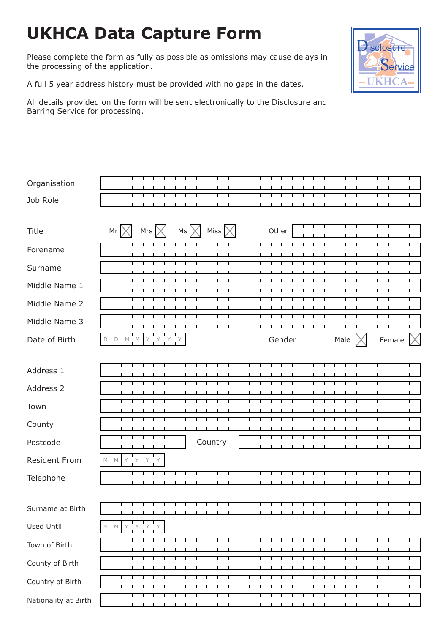# **UKHCA Data Capture Form**

Please complete the form as fully as possible as omissions may cause delays in the processing of the application.

A full 5 year address history must be provided with no gaps in the dates.

All details provided on the form will be sent electronically to the Disclosure and Barring Service for processing.

| Organisation<br>Job Role |                                                                                                                                |  |
|--------------------------|--------------------------------------------------------------------------------------------------------------------------------|--|
| Title                    | Miss $\times$<br>Mrs<br>$MS \times$<br>Other<br>Mr                                                                             |  |
| Forename                 |                                                                                                                                |  |
| Surname                  |                                                                                                                                |  |
| Middle Name 1            |                                                                                                                                |  |
| Middle Name 2            |                                                                                                                                |  |
| Middle Name 3            |                                                                                                                                |  |
| Date of Birth            | Y Y Y<br>Female $\vert \times$<br>$\mathbb M-\mathbb M$<br>Y<br>$\mathsf{D}$ $\mathsf{D}$<br>Gender<br>Male                    |  |
|                          |                                                                                                                                |  |
| Address 1                |                                                                                                                                |  |
| Address 2                |                                                                                                                                |  |
| Town                     |                                                                                                                                |  |
| County                   |                                                                                                                                |  |
| Postcode                 | Country                                                                                                                        |  |
| <b>Resident From</b>     | M<br>М                                                                                                                         |  |
| Telephone                |                                                                                                                                |  |
|                          |                                                                                                                                |  |
| Surname at Birth         | л.<br>-1                                                                                                                       |  |
| <b>Used Until</b>        | $\begin{array}{ccccc} \mathsf{Y} & \mathsf{Y} & \mathsf{Y} & \mathsf{Y} \end{array}$<br>$\mathbb M$ $\blacksquare$ $\mathbb M$ |  |
| Town of Birth            | ┰<br>┬<br>┬<br>┰<br>┰<br>⊤<br>┰<br>┰<br>┰<br>┰<br>т<br>т<br>⊤<br>т<br>т<br>т<br>т<br>- 11                                      |  |
| County of Birth          | ┬<br>┰<br>┰                                                                                                                    |  |
| Country of Birth         | ─────────                                                                                                                      |  |
| Nationality at Birth     | -1<br>$\mathbf{r}$                                                                                                             |  |

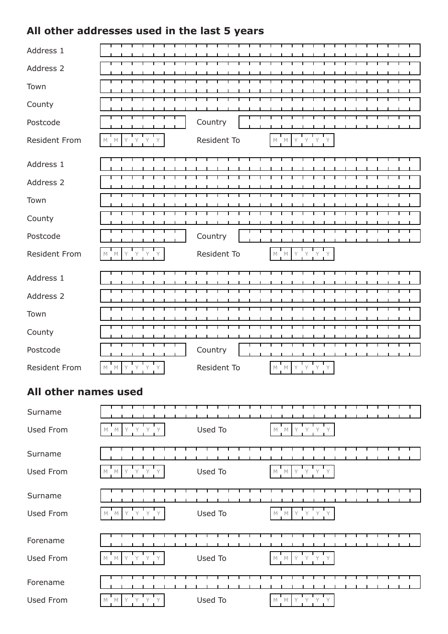## **All other addresses used in the last 5 years**

| Address 1            |                                                                                                             |             |                                                     |
|----------------------|-------------------------------------------------------------------------------------------------------------|-------------|-----------------------------------------------------|
| Address 2            |                                                                                                             |             |                                                     |
| Town                 |                                                                                                             |             |                                                     |
| County               |                                                                                                             |             |                                                     |
| Postcode             |                                                                                                             | Country     |                                                     |
| <b>Resident From</b> | Y<br>$\mathsf{Y}$<br>Y<br>M<br>$\mathbb M$                                                                  | Resident To | Y Y<br>$M$ $ M$<br>Y                                |
| Address 1            |                                                                                                             |             |                                                     |
| Address 2            |                                                                                                             |             |                                                     |
| Town                 |                                                                                                             |             |                                                     |
| County               |                                                                                                             |             |                                                     |
| Postcode             |                                                                                                             | Country     |                                                     |
| <b>Resident From</b> | Y<br>$\mathbf{y}$<br>$M$ $M$<br>Y                                                                           | Resident To | Y<br>$M$ $M$<br>Y                                   |
| Address 1            |                                                                                                             |             |                                                     |
| Address 2            |                                                                                                             |             |                                                     |
| Town                 |                                                                                                             |             |                                                     |
| County               |                                                                                                             |             |                                                     |
| Postcode             |                                                                                                             | Country     |                                                     |
| <b>Resident From</b> | $M_{\odot}$<br>Y<br>М                                                                                       | Resident To | М<br>M                                              |
| All other names used |                                                                                                             |             |                                                     |
| Surname              |                                                                                                             |             |                                                     |
| <b>Used From</b>     | Y Y Y<br>Y<br>$\mathbb M-\mathbb M$                                                                         | Used To     | $\mathbb M$ $\quad \mathbb M$<br>Y Y<br>Y           |
| Surname              |                                                                                                             |             |                                                     |
| Used From            | Y Y<br>$M$ $M$<br>Y                                                                                         | Used To     | $\mathbb M$ $\mathbb M$<br>Y<br>Y                   |
| Surname              |                                                                                                             |             |                                                     |
| Used From            | $\begin{array}{ccc} \mathsf{Y} & \mathsf{Y} & \mathsf{Y} & \mathsf{Y} \end{array}$<br>$\mathbb M-\mathbb M$ | Used To     | $M \times Y \times Y$<br>$\mathsf{Y}$               |
| Forename             |                                                                                                             |             |                                                     |
| Used From            | Y<br>Y<br>$\mathsf Y$<br>Y<br>M<br>М                                                                        | Used To     | $\mathsf Y$<br>Y<br>$\mathbb M-\mathbb M$<br>Y<br>Y |
| Forename             |                                                                                                             |             |                                                     |

| $\overline{\phantom{0}}$<br>Forename |      |  |  |  |  |         |  |  |  |  |  |  |  |  |  |  |
|--------------------------------------|------|--|--|--|--|---------|--|--|--|--|--|--|--|--|--|--|
| Used From                            | - IV |  |  |  |  | Used To |  |  |  |  |  |  |  |  |  |  |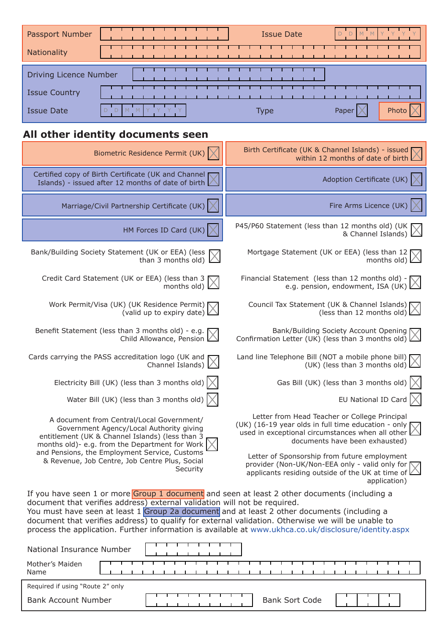| Passport Number        | <b>Issue Date</b> |               |
|------------------------|-------------------|---------------|
| Nationality            |                   |               |
| Driving Licence Number |                   |               |
| <b>Issue Country</b>   |                   |               |
| <b>Issue Date</b>      | Type              | Phot<br>Paper |

# **All other identity documents seen**

| Biometric Residence Permit (UK)                                                                                                                                                                                                                                                                                                                                                                                                                                                         | Birth Certificate (UK & Channel Islands) - issued<br>within 12 months of date of birth                                                                                                     |
|-----------------------------------------------------------------------------------------------------------------------------------------------------------------------------------------------------------------------------------------------------------------------------------------------------------------------------------------------------------------------------------------------------------------------------------------------------------------------------------------|--------------------------------------------------------------------------------------------------------------------------------------------------------------------------------------------|
| Certified copy of Birth Certificate (UK and Channel<br>Islands) - issued after 12 months of date of birth                                                                                                                                                                                                                                                                                                                                                                               | Adoption Certificate (UK)                                                                                                                                                                  |
| Marriage/Civil Partnership Certificate (UK)                                                                                                                                                                                                                                                                                                                                                                                                                                             | Fire Arms Licence (UK)                                                                                                                                                                     |
| HM Forces ID Card (UK)                                                                                                                                                                                                                                                                                                                                                                                                                                                                  | P45/P60 Statement (less than 12 months old) (UK<br>& Channel Islands)                                                                                                                      |
| Bank/Building Society Statement (UK or EEA) (less<br>than 3 months old)                                                                                                                                                                                                                                                                                                                                                                                                                 | Mortgage Statement (UK or EEA) (less than 12<br>months old)                                                                                                                                |
| Credit Card Statement (UK or EEA) (less than 3<br>$\left(\frac{1}{1000} \times 1000 \times 1000\right)$                                                                                                                                                                                                                                                                                                                                                                                 | Financial Statement (less than 12 months old) -<br>e.g. pension, endowment, ISA (UK)                                                                                                       |
| Work Permit/Visa (UK) (UK Residence Permit) \<br>(valid up to expiry date) $\triangle$                                                                                                                                                                                                                                                                                                                                                                                                  | Council Tax Statement (UK & Channel Islands) [<br>(less than 12 months old) $\triangle$                                                                                                    |
| Benefit Statement (less than 3 months old) - e.g.<br>Child Allowance, Pension $\angle$                                                                                                                                                                                                                                                                                                                                                                                                  | Bank/Building Society Account Opening<br>Confirmation Letter (UK) (less than 3 months old) $\angle$                                                                                        |
| Cards carrying the PASS accreditation logo (UK and<br>Channel Islands)                                                                                                                                                                                                                                                                                                                                                                                                                  | Land line Telephone Bill (NOT a mobile phone bill)<br>(UK) (less than 3 months old) $\angle$                                                                                               |
| Electricity Bill (UK) (less than 3 months old)                                                                                                                                                                                                                                                                                                                                                                                                                                          | Gas Bill (UK) (less than 3 months old)                                                                                                                                                     |
| Water Bill (UK) (less than 3 months old) $\vert \times$                                                                                                                                                                                                                                                                                                                                                                                                                                 | EU National ID Card $\vert \times$                                                                                                                                                         |
| A document from Central/Local Government/<br>Government Agency/Local Authority giving<br>entitlement (UK & Channel Islands) (less than 3<br>months old)- e.g. from the Department for Work                                                                                                                                                                                                                                                                                              | Letter from Head Teacher or College Principal<br>(UK) (16-19 year olds in full time education - only<br>used in exceptional circumstances when all other<br>documents have been exhausted) |
| and Pensions, the Employment Service, Customs<br>& Revenue, Job Centre, Job Centre Plus, Social<br>Security                                                                                                                                                                                                                                                                                                                                                                             | Letter of Sponsorship from future employment<br>provider (Non-UK/Non-EEA only - valid only for<br>applicants residing outside of the UK at time of L<br>application)                       |
| If you have seen 1 or more Group 1 document and seen at least 2 other documents (including a<br>document that verifies address) external validation will not be required.<br>You must have seen at least 1 Group 2a document and at least 2 other documents (including a<br>document that verifies address) to qualify for external validation. Otherwise we will be unable to<br>process the application. Further information is available at www.ukhca.co.uk/disclosure/identity.aspx |                                                                                                                                                                                            |
| National Insurance Number                                                                                                                                                                                                                                                                                                                                                                                                                                                               |                                                                                                                                                                                            |
| Mother's Maiden<br>Name                                                                                                                                                                                                                                                                                                                                                                                                                                                                 |                                                                                                                                                                                            |
| Required if using "Route 2" only                                                                                                                                                                                                                                                                                                                                                                                                                                                        |                                                                                                                                                                                            |

Bank Account Number **Bank Sort Code**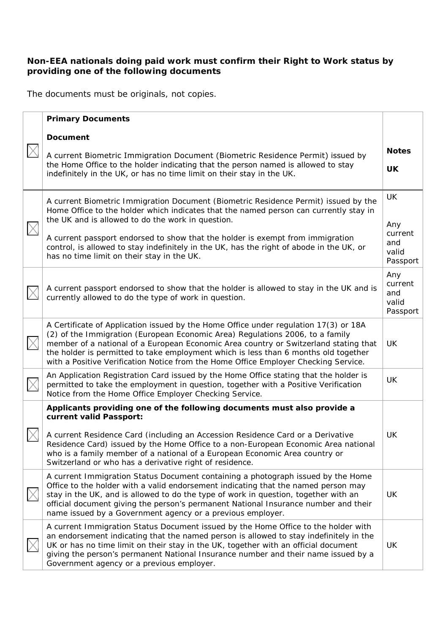### **Non-EEA nationals doing paid work must confirm their Right to Work status by providing one of the following documents**

The documents must be originals, not copies.

| <b>Primary Documents</b>                                                                                                                                                                                                                                                                                                                                                                                                                                      |                                                  |
|---------------------------------------------------------------------------------------------------------------------------------------------------------------------------------------------------------------------------------------------------------------------------------------------------------------------------------------------------------------------------------------------------------------------------------------------------------------|--------------------------------------------------|
| <b>Document</b><br>A current Biometric Immigration Document (Biometric Residence Permit) issued by<br>the Home Office to the holder indicating that the person named is allowed to stay<br>indefinitely in the UK, or has no time limit on their stay in the UK.                                                                                                                                                                                              | <b>Notes</b><br>UK                               |
| A current Biometric Immigration Document (Biometric Residence Permit) issued by the<br>Home Office to the holder which indicates that the named person can currently stay in<br>the UK and is allowed to do the work in question.<br>A current passport endorsed to show that the holder is exempt from immigration<br>control, is allowed to stay indefinitely in the UK, has the right of abode in the UK, or<br>has no time limit on their stay in the UK. | UK<br>Any<br>current<br>and<br>valid<br>Passport |
| A current passport endorsed to show that the holder is allowed to stay in the UK and is<br>currently allowed to do the type of work in question.                                                                                                                                                                                                                                                                                                              | Any<br>current<br>and<br>valid<br>Passport       |
| A Certificate of Application issued by the Home Office under regulation 17(3) or 18A<br>(2) of the Immigration (European Economic Area) Regulations 2006, to a family<br>member of a national of a European Economic Area country or Switzerland stating that<br>the holder is permitted to take employment which is less than 6 months old together<br>with a Positive Verification Notice from the Home Office Employer Checking Service.                   | UK                                               |
| An Application Registration Card issued by the Home Office stating that the holder is<br>permitted to take the employment in question, together with a Positive Verification<br>Notice from the Home Office Employer Checking Service.                                                                                                                                                                                                                        | <b>UK</b>                                        |
| Applicants providing one of the following documents must also provide a<br>current valid Passport:<br>A current Residence Card (including an Accession Residence Card or a Derivative<br>Residence Card) issued by the Home Office to a non-European Economic Area national<br>who is a family member of a national of a European Economic Area country or<br>Switzerland or who has a derivative right of residence.                                         | UK                                               |
| A current Immigration Status Document containing a photograph issued by the Home<br>Office to the holder with a valid endorsement indicating that the named person may<br>stay in the UK, and is allowed to do the type of work in question, together with an<br>official document giving the person's permanent National Insurance number and their<br>name issued by a Government agency or a previous employer.                                            | UK                                               |
| A current Immigration Status Document issued by the Home Office to the holder with<br>an endorsement indicating that the named person is allowed to stay indefinitely in the<br>UK or has no time limit on their stay in the UK, together with an official document<br>giving the person's permanent National Insurance number and their name issued by a<br>Government agency or a previous employer.                                                        | UK                                               |